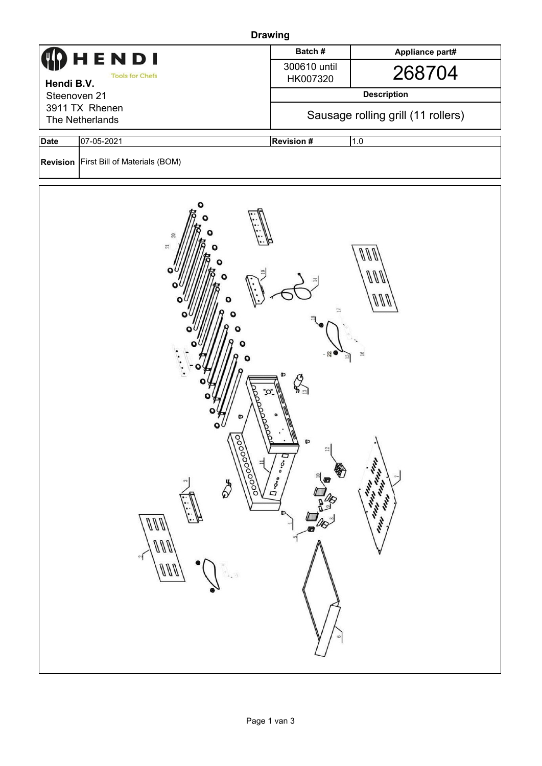| <b>Drawing</b>                                                                                                                                                                                                                                                                                                                                                                                                                                                                          |                                          |                                    |                 |  |  |  |  |  |
|-----------------------------------------------------------------------------------------------------------------------------------------------------------------------------------------------------------------------------------------------------------------------------------------------------------------------------------------------------------------------------------------------------------------------------------------------------------------------------------------|------------------------------------------|------------------------------------|-----------------|--|--|--|--|--|
| IENDI<br><b>Tools for Chefs</b><br>Hendi B.V.<br>Steenoven 21                                                                                                                                                                                                                                                                                                                                                                                                                           |                                          | Batch#                             | Appliance part# |  |  |  |  |  |
|                                                                                                                                                                                                                                                                                                                                                                                                                                                                                         |                                          | 300610 until<br>HK007320           | 268704          |  |  |  |  |  |
|                                                                                                                                                                                                                                                                                                                                                                                                                                                                                         |                                          | <b>Description</b>                 |                 |  |  |  |  |  |
| 3911 TX Rhenen<br>The Netherlands                                                                                                                                                                                                                                                                                                                                                                                                                                                       |                                          | Sausage rolling grill (11 rollers) |                 |  |  |  |  |  |
| <b>Date</b>                                                                                                                                                                                                                                                                                                                                                                                                                                                                             | 07-05-2021                               | <b>Revision #</b><br>1.0           |                 |  |  |  |  |  |
|                                                                                                                                                                                                                                                                                                                                                                                                                                                                                         | Revision   First Bill of Materials (BOM) |                                    |                 |  |  |  |  |  |
| $\mathbb{C}^7$<br>$\overline{\boldsymbol{z}}$<br>VV<br>m<br>Ο<br>000<br>o<br>$\approx$<br>$\mathcal{Q}_{\scriptscriptstyle\mathfrak{Q}}$<br>°O<br>Tooooooo<br>$\mathbf{I}$<br>٠<br>¢<br>$12\,$<br>$D \cdot \circ \cdot \circ$<br><b>Charles Carpenter</b><br>覺<br>$a^{\text{th}}$<br>$\overline{ }$<br>$\overline{\mathbf{U}}$ . $\mathbf{O}_{\bullet\bullet}$<br>\$<br>$\sim$<br><b>MAY</b><br>140<br>Mar.<br>$\overline{\mathscr{U}}$<br>D<br>M<br>ann<br>Ø<br>ann<br>$\sqrt{ }$<br>ç |                                          |                                    |                 |  |  |  |  |  |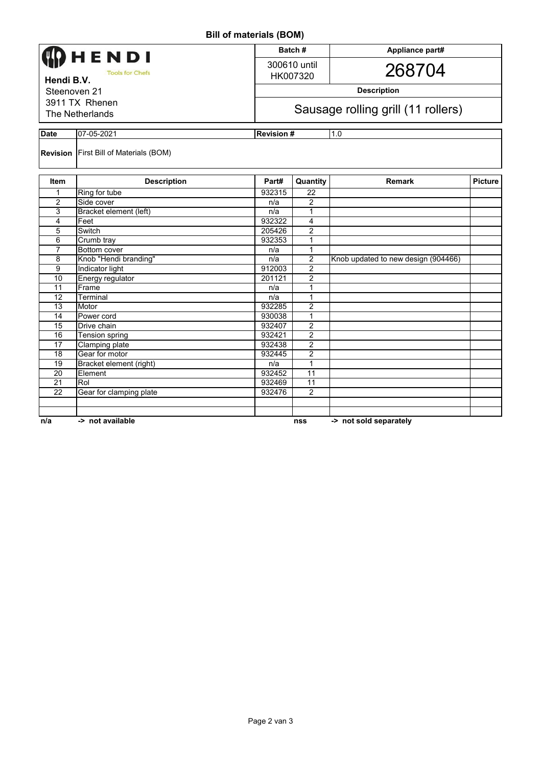**Bill of materials (BOM)**

| <b>DIII UI IIIAICIIAIS (DUNI)</b>    |                                               |        |                                    |                                     |                |  |  |  |
|--------------------------------------|-----------------------------------------------|--------|------------------------------------|-------------------------------------|----------------|--|--|--|
| HENDI                                |                                               |        | Batch#                             | Appliance part#                     |                |  |  |  |
|                                      |                                               |        | 300610 until                       |                                     |                |  |  |  |
| <b>Tools for Chefs</b><br>Hendi B.V. |                                               |        | HK007320                           | 268704                              |                |  |  |  |
| Steenoven 21                         |                                               |        | <b>Description</b>                 |                                     |                |  |  |  |
|                                      |                                               |        |                                    |                                     |                |  |  |  |
| 3911 TX Rhenen<br>The Netherlands    |                                               |        | Sausage rolling grill (11 rollers) |                                     |                |  |  |  |
|                                      |                                               |        |                                    |                                     |                |  |  |  |
| <b>Date</b><br>07-05-2021            |                                               |        | 1.0<br><b>Revision#</b>            |                                     |                |  |  |  |
|                                      | <b>Revision</b> First Bill of Materials (BOM) |        |                                    |                                     |                |  |  |  |
| <b>Item</b>                          | <b>Description</b>                            | Part#  | Quantity                           | <b>Remark</b>                       | <b>Picture</b> |  |  |  |
| 1                                    | Ring for tube                                 | 932315 | 22                                 |                                     |                |  |  |  |
| 2                                    | Side cover                                    | n/a    | 2                                  |                                     |                |  |  |  |
| 3                                    | Bracket element (left)                        | n/a    | $\mathbf{1}$                       |                                     |                |  |  |  |
| 4                                    | Feet                                          | 932322 | 4                                  |                                     |                |  |  |  |
| 5                                    | Switch                                        | 205426 | $\overline{2}$                     |                                     |                |  |  |  |
| 6                                    | Crumb tray                                    | 932353 | 1                                  |                                     |                |  |  |  |
| $\overline{7}$                       | Bottom cover                                  | n/a    | 1                                  |                                     |                |  |  |  |
| 8                                    | Knob "Hendi branding"                         | n/a    | $\overline{\mathbf{c}}$            | Knob updated to new design (904466) |                |  |  |  |
| 9                                    | Indicator light                               | 912003 | $\overline{2}$                     |                                     |                |  |  |  |
| 10                                   | Energy regulator                              | 201121 | $\overline{2}$                     |                                     |                |  |  |  |
| 11                                   | Frame                                         | n/a    | 1                                  |                                     |                |  |  |  |
| 12                                   | Terminal                                      | n/a    | 1                                  |                                     |                |  |  |  |
| 13                                   | Motor                                         | 932285 | $\overline{2}$                     |                                     |                |  |  |  |
| 14                                   | Power cord                                    | 930038 | $\mathbf{1}$                       |                                     |                |  |  |  |
| 15                                   | Drive chain                                   | 932407 | $\overline{2}$                     |                                     |                |  |  |  |
| 16                                   | Tension spring                                | 932421 | $\overline{2}$                     |                                     |                |  |  |  |
| 17                                   | <b>Clamping plate</b>                         | 932438 | $\overline{2}$                     |                                     |                |  |  |  |
| 18                                   | Gear for motor                                | 932445 | 2                                  |                                     |                |  |  |  |
| $\overline{19}$                      | Bracket element (right)                       | n/a    | 1                                  |                                     |                |  |  |  |
| $\overline{20}$                      | Element                                       | 932452 | 11                                 |                                     |                |  |  |  |
| $\overline{21}$                      | Rol                                           | 932469 | 11                                 |                                     |                |  |  |  |
| 22                                   | Gear for clamping plate                       | 932476 | $\overline{2}$                     |                                     |                |  |  |  |
|                                      |                                               |        |                                    |                                     |                |  |  |  |
|                                      |                                               |        |                                    |                                     |                |  |  |  |
| n/a                                  | -> not available                              |        | nss                                | -> not sold separately              |                |  |  |  |